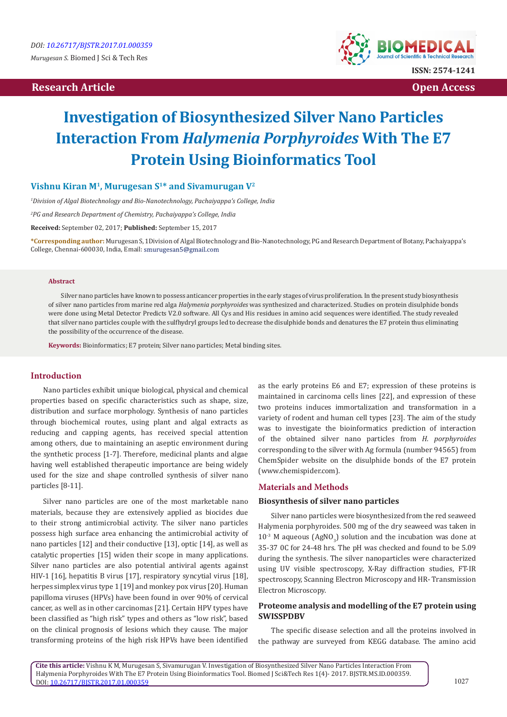# **Research Article Contract Access Contract Article Contract Access Contract Access Contract Access Contract Access**



# **Investigation of Biosynthesized Silver Nano Particles Interaction From** *Halymenia Porphyroides* **With The E7 Protein Using Bioinformatics Tool**

## **Vishnu Kiran M1, Murugesan S1\* and Sivamurugan V2**

*1 Division of Algal Biotechnology and Bio-Nanotechnology, Pachaiyappa's College, India*

*2 PG and Research Department of Chemistry, Pachaiyappa's College, India*

**Received:** September 02, 2017; **Published:** September 15, 2017

**\*Corresponding author:** Murugesan S, 1Division of Algal Biotechnology and Bio-Nanotechnology, PG and Research Department of Botany, Pachaiyappa's College, Chennai-600030, India, Email:

#### **Abstract**

Silver nano particles have known to possess anticancer properties in the early stages of virus proliferation. In the present study biosynthesis of silver nano particles from marine red alga *Halymenia porphyroides* was synthesized and characterized. Studies on protein disulphide bonds were done using Metal Detector Predicts V2.0 software. All Cys and His residues in amino acid sequences were identified. The study revealed that silver nano particles couple with the sulfhydryl groups led to decrease the disulphide bonds and denatures the E7 protein thus eliminating the possibility of the occurrence of the disease.

**Keywords:** Bioinformatics; E7 protein; Silver nano particles; Metal binding sites.

## **Introduction**

Nano particles exhibit unique biological, physical and chemical properties based on specific characteristics such as shape, size, distribution and surface morphology. Synthesis of nano particles through biochemical routes, using plant and algal extracts as reducing and capping agents, has received special attention among others, due to maintaining an aseptic environment during the synthetic process [1-7]. Therefore, medicinal plants and algae having well established therapeutic importance are being widely used for the size and shape controlled synthesis of silver nano particles [8-11].

Silver nano particles are one of the most marketable nano materials, because they are extensively applied as biocides due to their strong antimicrobial activity. The silver nano particles possess high surface area enhancing the antimicrobial activity of nano particles [12] and their conductive [13], optic [14], as well as catalytic properties [15] widen their scope in many applications. Silver nano particles are also potential antiviral agents against HIV-1 [16], hepatitis B virus [17], respiratory syncytial virus [18], herpes simplex virus type 1 [19] and monkey pox virus [20]. Human papilloma viruses (HPVs) have been found in over 90% of cervical cancer, as well as in other carcinomas [21]. Certain HPV types have been classified as "high risk" types and others as "low risk", based on the clinical prognosis of lesions which they cause. The major transforming proteins of the high risk HPVs have been identified

as the early proteins E6 and E7; expression of these proteins is maintained in carcinoma cells lines [22], and expression of these two proteins induces immortalization and transformation in a variety of rodent and human cell types [23]. The aim of the study was to investigate the bioinformatics prediction of interaction of the obtained silver nano particles from *H. porphyroides*  corresponding to the silver with Ag formula (number 94565) from ChemSpider website on the disulphide bonds of the E7 protein (www.chemispider.com).

#### **Materials and Methods**

#### **Biosynthesis of silver nano particles**

Silver nano particles were biosynthesized from the red seaweed Halymenia porphyroides. 500 mg of the dry seaweed was taken in  $10^{-3}$  M aqueous (AgNO<sub>3</sub>) solution and the incubation was done at 35-37 0C for 24-48 hrs. The pH was checked and found to be 5.09 during the synthesis. The silver nanoparticles were characterized using UV visible spectroscopy, X-Ray diffraction studies, FT-IR spectroscopy, Scanning Electron Microscopy and HR- Transmission Electron Microscopy.

## **Proteome analysis and modelling of the E7 protein using SWISSPDBV**

The specific disease selection and all the proteins involved in the pathway are surveyed from KEGG database. The amino acid

**Cite this article:** Vishnu K M, Murugesan S, Sivamurugan V. Investigation of Biosynthesized Silver Nano Particles Interaction From Halymenia Porphyroides With The E7 Protein Using Bioinformatics Tool. Biomed J Sci&Tech Res 1(4)- 2017. BJSTR.MS.ID.000359. DOI: [10.26717/BJSTR.2017.01.000359](http://dx.doi.org/10.26717/BJSTR.2017.01.000359)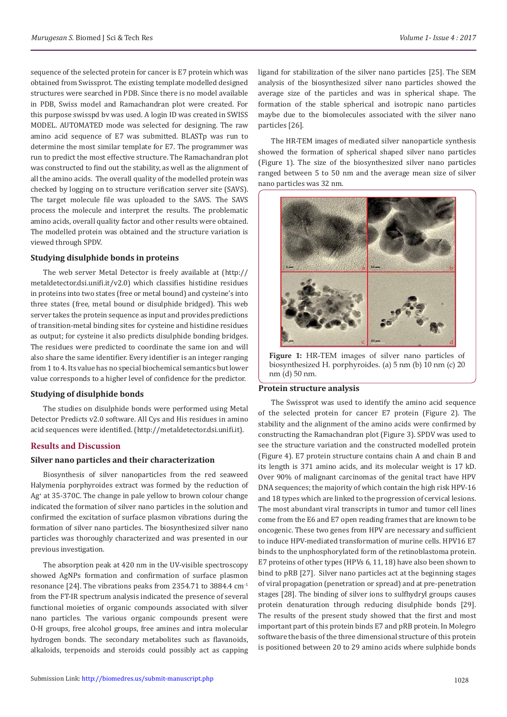sequence of the selected protein for cancer is E7 protein which was obtained from Swissprot. The existing template modelled designed structures were searched in PDB. Since there is no model available in PDB, Swiss model and Ramachandran plot were created. For this purpose swisspd bv was used. A login ID was created in SWISS MODEL. AUTOMATED mode was selected for designing. The raw amino acid sequence of E7 was submitted. BLASTp was run to determine the most similar template for E7. The programmer was run to predict the most effective structure. The Ramachandran plot was constructed to find out the stability, as well as the alignment of all the amino acids. The overall quality of the modelled protein was checked by logging on to structure verification server site (SAVS). The target molecule file was uploaded to the SAVS. The SAVS process the molecule and interpret the results. The problematic amino acids, overall quality factor and other results were obtained. The modelled protein was obtained and the structure variation is viewed through SPDV.

## **Studying disulphide bonds in proteins**

The web server Metal Detector is freely available at (http:// metaldetector.dsi.unifi.it/v2.0) which classifies histidine residues in proteins into two states (free or metal bound) and cysteine's into three states (free, metal bound or disulphide bridged). This web server takes the protein sequence as input and provides predictions of transition-metal binding sites for cysteine and histidine residues as output; for cysteine it also predicts disulphide bonding bridges. The residues were predicted to coordinate the same ion and will also share the same identifier. Every identifier is an integer ranging from 1 to 4. Its value has no special biochemical semantics but lower value corresponds to a higher level of confidence for the predictor.

## **Studying of disulphide bonds**

The studies on disulphide bonds were performed using Metal Detector Predicts v2.0 software. All Cys and His residues in amino acid sequences were identified. (http://metaldetector.dsi.unifi.it).

## **Results and Discussion**

## **Silver nano particles and their characterization**

Biosynthesis of silver nanoparticles from the red seaweed Halymenia porphyroides extract was formed by the reduction of Ag<sup>+</sup> at 35-370C. The change in pale yellow to brown colour change indicated the formation of silver nano particles in the solution and confirmed the excitation of surface plasmon vibrations during the formation of silver nano particles. The biosynthesized silver nano particles was thoroughly characterized and was presented in our previous investigation.

The absorption peak at 420 nm in the UV-visible spectroscopy showed AgNPs formation and confirmation of surface plasmon resonance [24]. The vibrations peaks from 2354.71 to 3884.4 cm-1 from the FT-IR spectrum analysis indicated the presence of several functional moieties of organic compounds associated with silver nano particles. The various organic compounds present were O-H groups, free alcohol groups, free amines and intra molecular hydrogen bonds. The secondary metabolites such as flavanoids, alkaloids, terpenoids and steroids could possibly act as capping ligand for stabilization of the silver nano particles [25]. The SEM analysis of the biosynthesized silver nano particles showed the average size of the particles and was in spherical shape. The formation of the stable spherical and isotropic nano particles maybe due to the biomolecules associated with the silver nano particles [26].

The HR-TEM images of mediated silver nanoparticle synthesis showed the formation of spherical shaped silver nano particles (Figure 1). The size of the biosynthesized silver nano particles ranged between 5 to 50 nm and the average mean size of silver nano particles was 32 nm.



**Figure 1:** HR-TEM images of silver nano particles of biosynthesized H. porphyroides. (a) 5 nm (b) 10 nm (c) 20 nm (d) 50 nm.

## **Protein structure analysis**

The Swissprot was used to identify the amino acid sequence of the selected protein for cancer E7 protein (Figure 2). The stability and the alignment of the amino acids were confirmed by constructing the Ramachandran plot (Figure 3). SPDV was used to see the structure variation and the constructed modelled protein (Figure 4). E7 protein structure contains chain A and chain B and its length is 371 amino acids, and its molecular weight is 17 kD. Over 90% of malignant carcinomas of the genital tract have HPV DNA sequences; the majority of which contain the high risk HPV-16 and 18 types which are linked to the progression of cervical lesions. The most abundant viral transcripts in tumor and tumor cell lines come from the E6 and E7 open reading frames that are known to be oncogenic. These two genes from HPV are necessary and sufficient to induce HPV-mediated transformation of murine cells. HPV16 E7 binds to the unphosphorylated form of the retinoblastoma protein. E7 proteins of other types (HPVs 6, 11, 18) have also been shown to bind to pRB [27]. Silver nano particles act at the beginning stages of viral propagation (penetration or spread) and at pre-penetration stages [28]. The binding of silver ions to sulfhydryl groups causes protein denaturation through reducing disulphide bonds [29]. The results of the present study showed that the first and most important part of this protein binds E7 and pRB protein. In Molegro software the basis of the three dimensional structure of this protein is positioned between 20 to 29 amino acids where sulphide bonds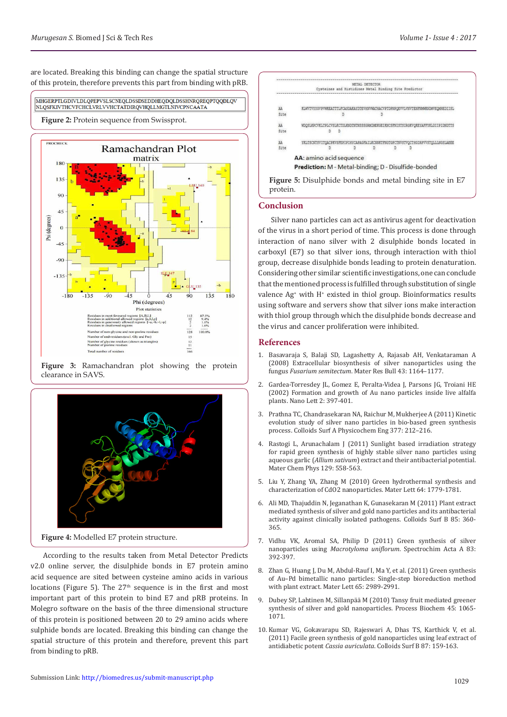are located. Breaking this binding can change the spatial structure of this protein, therefore prevents this part from binding with pRB.

#### MHGERPTLGDIVLDLQPEPVSLSCNEQLDSSDSEDDHEQDQLDSSHNRQREQPTQQDLQV NLQSFKIVTHCVFCHCLVRLVVHCTATDIRQVHQLLMGTLNIVCPNCAATA

## **Figure 2:** Protein sequence from Swissprot.



**Figure 3:** Ramachandran plot showing the protein clearance in SAVS.



**Figure 4:** Modelled E7 protein structure.

According to the results taken from Metal Detector Predicts v2.0 online server, the disulphide bonds in E7 protein amino acid sequence are sited between cysteine amino acids in various locations (Figure 5). The  $27<sup>th</sup>$  sequence is in the first and most important part of this protein to bind E7 and pRB proteins. In Molegro software on the basis of the three dimensional structure of this protein is positioned between 20 to 29 amino acids where sulphide bonds are located. Breaking this binding can change the spatial structure of this protein and therefore, prevent this part from binding to pRB.

| AA   |                                                                                 |  |  |  | KLWVTVYYGVPVWKEATTTLFCASDAKAYDTEVHNVWATHACVPTDPNPQEVVLVNVTENFNWWKNDMVEQMHEDIISL |  |  |
|------|---------------------------------------------------------------------------------|--|--|--|---------------------------------------------------------------------------------|--|--|
| Site |                                                                                 |  |  |  |                                                                                 |  |  |
| AA   | WDQSLKPCVKLTPLCVSLKCTDLKNDTNTNSSSGRMIMEKGEIKNCSFNISTSIRGKVQKEYAFFYKLDIIPIDNDTTS |  |  |  |                                                                                 |  |  |
|      |                                                                                 |  |  |  |                                                                                 |  |  |
| AA   | YKLTSCNTSVITQACPKVSFEPIPIHYCAPAGFAILKCNNKTFNGTGPCTNVSTVQCTHGIRPVVSTQLLLNGSLAEEE |  |  |  |                                                                                 |  |  |
| Site |                                                                                 |  |  |  |                                                                                 |  |  |
|      | AA: amino acid sequence                                                         |  |  |  |                                                                                 |  |  |
|      | Prediction: M - Metal-binding; D - Disulfide-bonded                             |  |  |  |                                                                                 |  |  |

#### **Conclusion**

Silver nano particles can act as antivirus agent for deactivation of the virus in a short period of time. This process is done through interaction of nano silver with 2 disulphide bonds located in carboxyl (E7) so that silver ions, through interaction with thiol group, decrease disulphide bonds leading to protein denaturation. Considering other similar scientific investigations, one can conclude that the mentioned process is fulfilled through substitution of single valence Ag<sup>+</sup> with H<sup>+</sup> existed in thiol group. Bioinformatics results using software and servers show that silver ions make interaction with thiol group through which the disulphide bonds decrease and the virus and cancer proliferation were inhibited.

## **References**

- 1. [Basavaraja S, Balaji SD, Lagashetty A, Rajasab AH, Venkataraman A](https://www.researchgate.net/publication/222334237_Extracellular_biosynthesis_of_silver_nanoparticles_using_the_fungus_Fusarium_semitectum) [\(2008\) Extracellular biosynthesis of silver nanoparticles using the](https://www.researchgate.net/publication/222334237_Extracellular_biosynthesis_of_silver_nanoparticles_using_the_fungus_Fusarium_semitectum) fungus *Fusarium semitectum*[. Mater Res Bull 43: 1164–1177.](https://www.researchgate.net/publication/222334237_Extracellular_biosynthesis_of_silver_nanoparticles_using_the_fungus_Fusarium_semitectum)
- 2. [Gardea-Torresdey JL, Gomez E, Peralta-Videa J, Parsons JG, Troiani HE](http://pubs.acs.org/doi/abs/10.1021/nl015673+) [\(2002\) Formation and growth of Au nano particles inside live alfalfa](http://pubs.acs.org/doi/abs/10.1021/nl015673+) [plants. Nano Lett 2: 397-401.](http://pubs.acs.org/doi/abs/10.1021/nl015673+)
- 3. [Prathna TC, Chandrasekaran NA, Raichur M, Mukherjee A \(2011\) Kinetic](https://www.researchgate.net/publication/222105737_Kinetic_evolution_studies_of_silver_nanoparticles_in_a_bio-based_green_synthesis_process) [evolution study of silver nano particles in bio-based green synthesis](https://www.researchgate.net/publication/222105737_Kinetic_evolution_studies_of_silver_nanoparticles_in_a_bio-based_green_synthesis_process) [process. Colloids Surf A Physicochem Eng 377: 212–216.](https://www.researchgate.net/publication/222105737_Kinetic_evolution_studies_of_silver_nanoparticles_in_a_bio-based_green_synthesis_process)
- 4. [Rastogi L, Arunachalam J \(2011\) Sunlight based irradiation strategy](https://www.researchgate.net/publication/251538616_Sunlight_based_irradiation_strategy_for_rapid_green_synthesis_of_highly_stable_silver_nanoparticles_using_aqueous_garlic_Allium_sativum_extract_and_their_antibacterial_potential) [for rapid green synthesis of highly stable silver nano particles using](https://www.researchgate.net/publication/251538616_Sunlight_based_irradiation_strategy_for_rapid_green_synthesis_of_highly_stable_silver_nanoparticles_using_aqueous_garlic_Allium_sativum_extract_and_their_antibacterial_potential) aqueous garlic (*Allium sativum*[\) extract and their antibacterial potential.](https://www.researchgate.net/publication/251538616_Sunlight_based_irradiation_strategy_for_rapid_green_synthesis_of_highly_stable_silver_nanoparticles_using_aqueous_garlic_Allium_sativum_extract_and_their_antibacterial_potential) [Mater Chem Phys 129: 558-563.](https://www.researchgate.net/publication/251538616_Sunlight_based_irradiation_strategy_for_rapid_green_synthesis_of_highly_stable_silver_nanoparticles_using_aqueous_garlic_Allium_sativum_extract_and_their_antibacterial_potential)
- 5. Liu Y, Zhang YA, Zhang M (2010) Green hydrothermal synthesis and characterization of CdO2 nanoparticles. Mater Lett 64: 1779-1781.
- 6. [Ali MD, Thajuddin N, Jeganathan K, Gunasekaran M \(2011\) Plant extract](https://www.ncbi.nlm.nih.gov/pubmed/21466948) [mediated synthesis of silver and gold nano particles and its antibacterial](https://www.ncbi.nlm.nih.gov/pubmed/21466948) [activity against clinically isolated pathogens. Colloids Surf B](https://www.ncbi.nlm.nih.gov/pubmed/21466948) 85: 360- [365.](https://www.ncbi.nlm.nih.gov/pubmed/21466948)
- 7. [Vidhu VK, Aromal SA, Philip D \(2011\) Green synthesis of silver](https://www.ncbi.nlm.nih.gov/pubmed/21920808) nanoparticles using *[Macrotyloma uniflorum](https://www.ncbi.nlm.nih.gov/pubmed/21920808)*. Spectrochim Acta A 83: [392-397.](https://www.ncbi.nlm.nih.gov/pubmed/21920808)
- 8. [Zhan G, Huang J, Du M, Abdul-Rauf I, Ma Y, et al. \(2011\) Green synthesis](http://agris.fao.org/agris-search/search.do?recordID=US201500031170) [of Au–Pd bimetallic nano particles: Single-step bioreduction method](http://agris.fao.org/agris-search/search.do?recordID=US201500031170) [with plant extract. Mater Lett](http://agris.fao.org/agris-search/search.do?recordID=US201500031170) 65: 2989-2991.
- 9. [Dubey SP, Lahtinen M, Sillanpää M \(2010\) Tansy fruit mediated greener](http://www.academia.edu/11693571/Tansy_fruit_mediated_greener_synthesis_of_silver_and_gold_nanoparticles) [synthesis of silver and gold nanoparticles. Process Biochem](http://www.academia.edu/11693571/Tansy_fruit_mediated_greener_synthesis_of_silver_and_gold_nanoparticles) 45: 1065- [1071.](http://www.academia.edu/11693571/Tansy_fruit_mediated_greener_synthesis_of_silver_and_gold_nanoparticles)
- 10. [Kumar VG, Gokavarapu SD, Rajeswari A, Dhas TS, Karthick V, et al.](https://www.ncbi.nlm.nih.gov/pubmed/21640563) [\(2011\) Facile green synthesis of gold nanoparticles using leaf extract of](https://www.ncbi.nlm.nih.gov/pubmed/21640563) antidiabetic potent *Cassia auriculata*. Colloids Surf B 87: 159-163.